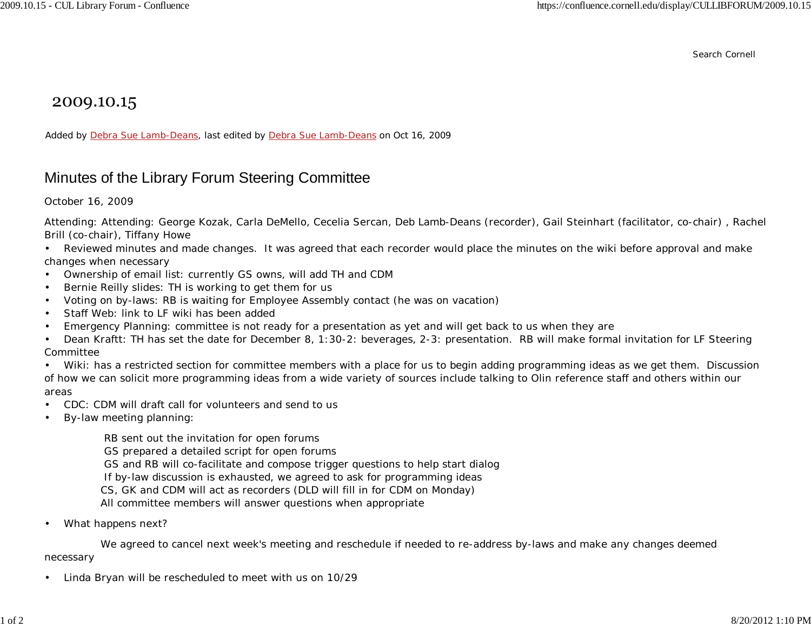Search Cornell

## 2009.10.15

Added by Debra Sue Lamb-Deans, last edited by Debra Sue Lamb-Deans on Oct 16, 2009

## Minutes of the Library Forum Steering Committee

October 16, 2009

Attending: Attending: George Kozak, Carla DeMello, Cecelia Sercan, Deb Lamb-Deans (recorder), Gail Steinhart (facilitator, co-chair) , Rachel Brill (co-chair), Tiffany Howe

- Reviewed minutes and made changes. It was agreed that each recorder would place the minutes on the wiki before approval and make changes when necessary
- Ownership of email list: currently GS owns, will add TH and CDM
- Bernie Reilly slides: TH is working to get them for us
- Voting on by-laws: RB is waiting for Employee Assembly contact (he was on vacation)
- Staff Web: link to LF wiki has been added
- Emergency Planning: committee is not ready for a presentation as yet and will get back to us when they are
- Dean Kraftt: TH has set the date for December 8, 1:30-2: beverages, 2-3: presentation. RB will make formal invitation for LF Steering Committee

• Wiki: has a restricted section for committee members with a place for us to begin adding programming ideas as we get them. Discussion of how we can solicit more programming ideas from a wide variety of sources include talking to Olin reference staff and others within our areas

- CDC: CDM will draft call for volunteers and send to us
- By-law meeting planning:

RB sent out the invitation for open forums

- GS prepared a detailed script for open forums
- GS and RB will co-facilitate and compose trigger questions to help start dialog
- If by-law discussion is exhausted, we agreed to ask for programming ideas
- CS, GK and CDM will act as recorders (DLD will fill in for CDM on Monday)
- All committee members will answer questions when appropriate
- What happens next?

 We agreed to cancel next week's meeting and reschedule if needed to re-address by-laws and make any changes deemed necessary

• Linda Bryan will be rescheduled to meet with us on 10/29